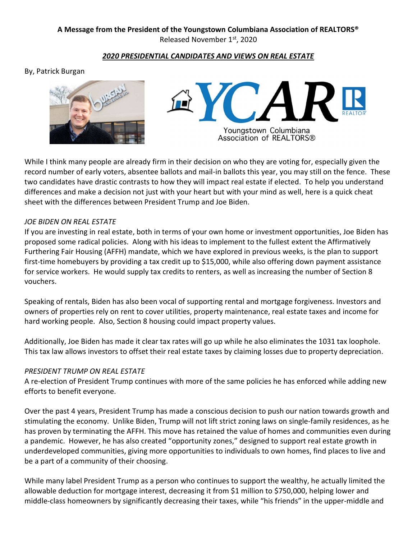## A Message from the President of the Youngstown Columbiana Association of REALTORS® Released November 1st, 2020

## 2020 PRESIDENTIAL CANDIDATES AND VIEWS ON REAL ESTATE

## By, Patrick Burgan





While I think many people are already firm in their decision on who they are voting for, especially given the record number of early voters, absentee ballots and mail-in ballots this year, you may still on the fence. These two candidates have drastic contrasts to how they will impact real estate if elected. To help you understand differences and make a decision not just with your heart but with your mind as well, here is a quick cheat sheet with the differences between President Trump and Joe Biden.

#### JOE BIDEN ON REAL ESTATE

If you are investing in real estate, both in terms of your own home or investment opportunities, Joe Biden has proposed some radical policies. Along with his ideas to implement to the fullest extent the Affirmatively Furthering Fair Housing (AFFH) mandate, which we have explored in previous weeks, is the plan to support first-time homebuyers by providing a tax credit up to \$15,000, while also offering down payment assistance for service workers. He would supply tax credits to renters, as well as increasing the number of Section 8 vouchers.

Speaking of rentals, Biden has also been vocal of supporting rental and mortgage forgiveness. Investors and owners of properties rely on rent to cover utilities, property maintenance, real estate taxes and income for hard working people. Also, Section 8 housing could impact property values.

Additionally, Joe Biden has made it clear tax rates will go up while he also eliminates the 1031 tax loophole. This tax law allows investors to offset their real estate taxes by claiming losses due to property depreciation.

## PRESIDENT TRUMP ON REAL ESTATE

A re-election of President Trump continues with more of the same policies he has enforced while adding new efforts to benefit everyone.

Over the past 4 years, President Trump has made a conscious decision to push our nation towards growth and stimulating the economy. Unlike Biden, Trump will not lift strict zoning laws on single-family residences, as he has proven by terminating the AFFH. This move has retained the value of homes and communities even during a pandemic. However, he has also created "opportunity zones," designed to support real estate growth in underdeveloped communities, giving more opportunities to individuals to own homes, find places to live and be a part of a community of their choosing.

While many label President Trump as a person who continues to support the wealthy, he actually limited the allowable deduction for mortgage interest, decreasing it from \$1 million to \$750,000, helping lower and middle-class homeowners by significantly decreasing their taxes, while "his friends" in the upper-middle and